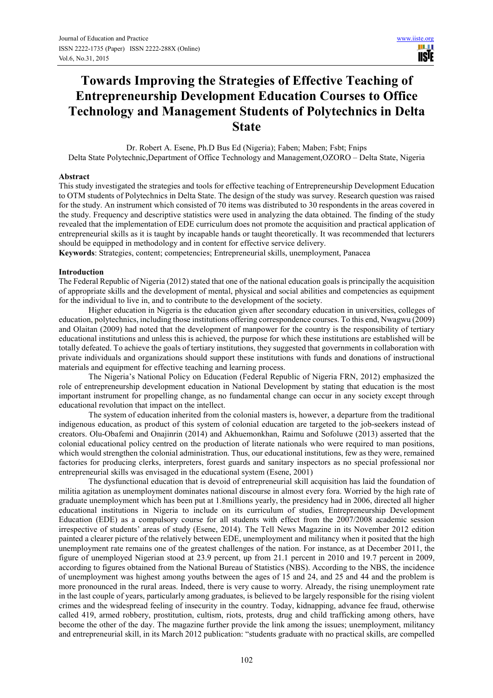# **Towards Improving the Strategies of Effective Teaching of Entrepreneurship Development Education Courses to Office Technology and Management Students of Polytechnics in Delta State**

Dr. Robert A. Esene, Ph.D Bus Ed (Nigeria); Faben; Maben; Fsbt; Fnips Delta State Polytechnic,Department of Office Technology and Management,OZORO – Delta State, Nigeria

## **Abstract**

This study investigated the strategies and tools for effective teaching of Entrepreneurship Development Education to OTM students of Polytechnics in Delta State. The design of the study was survey. Research question was raised for the study. An instrument which consisted of 70 items was distributed to 30 respondents in the areas covered in the study. Frequency and descriptive statistics were used in analyzing the data obtained. The finding of the study revealed that the implementation of EDE curriculum does not promote the acquisition and practical application of entrepreneurial skills as it is taught by incapable hands or taught theoretically. It was recommended that lecturers should be equipped in methodology and in content for effective service delivery.

**Keywords**: Strategies, content; competencies; Entrepreneurial skills, unemployment, Panacea

### **Introduction**

The Federal Republic of Nigeria (2012) stated that one of the national education goals is principally the acquisition of appropriate skills and the development of mental, physical and social abilities and competencies as equipment for the individual to live in, and to contribute to the development of the society.

 Higher education in Nigeria is the education given after secondary education in universities, colleges of education, polytechnics, including those institutions offering correspondence courses. To this end, Nwagwu (2009) and Olaitan (2009) had noted that the development of manpower for the country is the responsibility of tertiary educational institutions and unless this is achieved, the purpose for which these institutions are established will be totally defeated. To achieve the goals of tertiary institutions, they suggested that governments in collaboration with private individuals and organizations should support these institutions with funds and donations of instructional materials and equipment for effective teaching and learning process.

 The Nigeria's National Policy on Education (Federal Republic of Nigeria FRN, 2012) emphasized the role of entrepreneurship development education in National Development by stating that education is the most important instrument for propelling change, as no fundamental change can occur in any society except through educational revolution that impact on the intellect.

 The system of education inherited from the colonial masters is, however, a departure from the traditional indigenous education, as product of this system of colonial education are targeted to the job-seekers instead of creators. Olu-Obafemi and Onajinrin (2014) and Akhuemonkhan, Raimu and Sofoluwe (2013) asserted that the colonial educational policy centred on the production of literate nationals who were required to man positions, which would strengthen the colonial administration. Thus, our educational institutions, few as they were, remained factories for producing clerks, interpreters, forest guards and sanitary inspectors as no special professional nor entrepreneurial skills was envisaged in the educational system (Esene, 2001)

 The dysfunctional education that is devoid of entrepreneurial skill acquisition has laid the foundation of militia agitation as unemployment dominates national discourse in almost every fora. Worried by the high rate of graduate unemployment which has been put at 1.8millions yearly, the presidency had in 2006, directed all higher educational institutions in Nigeria to include on its curriculum of studies, Entrepreneurship Development Education (EDE) as a compulsory course for all students with effect from the 2007/2008 academic session irrespective of students' areas of study (Esene, 2014). The Tell News Magazine in its November 2012 edition painted a clearer picture of the relatively between EDE, unemployment and militancy when it posited that the high unemployment rate remains one of the greatest challenges of the nation. For instance, as at December 2011, the figure of unemployed Nigerian stood at 23.9 percent, up from 21.1 percent in 2010 and 19.7 percent in 2009, according to figures obtained from the National Bureau of Statistics (NBS). According to the NBS, the incidence of unemployment was highest among youths between the ages of 15 and 24, and 25 and 44 and the problem is more pronounced in the rural areas. Indeed, there is very cause to worry. Already, the rising unemployment rate in the last couple of years, particularly among graduates, is believed to be largely responsible for the rising violent crimes and the widespread feeling of insecurity in the country. Today, kidnapping, advance fee fraud, otherwise called 419, armed robbery, prostitution, cultism, riots, protests, drug and child trafficking among others, have become the other of the day. The magazine further provide the link among the issues; unemployment, militancy and entrepreneurial skill, in its March 2012 publication: "students graduate with no practical skills, are compelled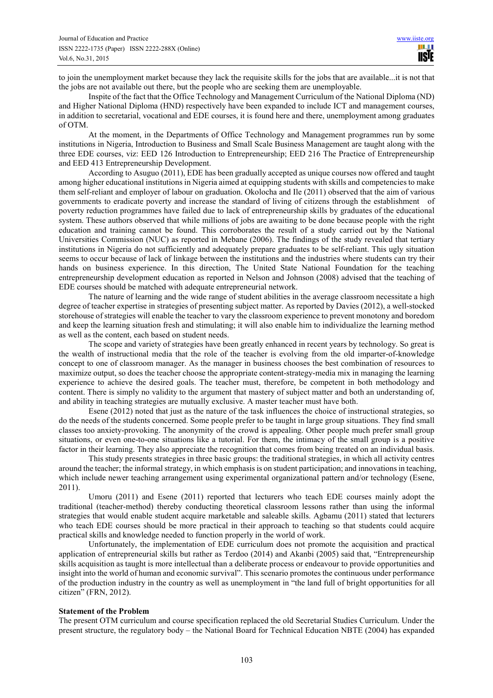to join the unemployment market because they lack the requisite skills for the jobs that are available...it is not that the jobs are not available out there, but the people who are seeking them are unemployable.

 Inspite of the fact that the Office Technology and Management Curriculum of the National Diploma (ND) and Higher National Diploma (HND) respectively have been expanded to include ICT and management courses, in addition to secretarial, vocational and EDE courses, it is found here and there, unemployment among graduates of OTM.

 At the moment, in the Departments of Office Technology and Management programmes run by some institutions in Nigeria, Introduction to Business and Small Scale Business Management are taught along with the three EDE courses, viz: EED 126 Introduction to Entrepreneurship; EED 216 The Practice of Entrepreneurship and EED 413 Entrepreneurship Development.

 According to Asuguo (2011), EDE has been gradually accepted as unique courses now offered and taught among higher educational institutions in Nigeria aimed at equipping students with skills and competencies to make them self-reliant and employer of labour on graduation. Okolocha and Ile (2011) observed that the aim of various governments to eradicate poverty and increase the standard of living of citizens through the establishment of poverty reduction programmes have failed due to lack of entrepreneurship skills by graduates of the educational system. These authors observed that while millions of jobs are awaiting to be done because people with the right education and training cannot be found. This corroborates the result of a study carried out by the National Universities Commission (NUC) as reported in Mebane (2006). The findings of the study revealed that tertiary institutions in Nigeria do not sufficiently and adequately prepare graduates to be self-reliant. This ugly situation seems to occur because of lack of linkage between the institutions and the industries where students can try their hands on business experience. In this direction, The United State National Foundation for the teaching entrepreneurship development education as reported in Nelson and Johnson (2008) advised that the teaching of EDE courses should be matched with adequate entrepreneurial network.

 The nature of learning and the wide range of student abilities in the average classroom necessitate a high degree of teacher expertise in strategies of presenting subject matter. As reported by Davies (2012), a well-stocked storehouse of strategies will enable the teacher to vary the classroom experience to prevent monotony and boredom and keep the learning situation fresh and stimulating; it will also enable him to individualize the learning method as well as the content, each based on student needs.

 The scope and variety of strategies have been greatly enhanced in recent years by technology. So great is the wealth of instructional media that the role of the teacher is evolving from the old imparter-of-knowledge concept to one of classroom manager. As the manager in business chooses the best combination of resources to maximize output, so does the teacher choose the appropriate content-strategy-media mix in managing the learning experience to achieve the desired goals. The teacher must, therefore, be competent in both methodology and content. There is simply no validity to the argument that mastery of subject matter and both an understanding of, and ability in teaching strategies are mutually exclusive. A master teacher must have both.

 Esene (2012) noted that just as the nature of the task influences the choice of instructional strategies, so do the needs of the students concerned. Some people prefer to be taught in large group situations. They find small classes too anxiety-provoking. The anonymity of the crowd is appealing. Other people much prefer small group situations, or even one-to-one situations like a tutorial. For them, the intimacy of the small group is a positive factor in their learning. They also appreciate the recognition that comes from being treated on an individual basis.

 This study presents strategies in three basic groups: the traditional strategies, in which all activity centres around the teacher; the informal strategy, in which emphasis is on student participation; and innovations in teaching, which include newer teaching arrangement using experimental organizational pattern and/or technology (Esene, 2011).

 Umoru (2011) and Esene (2011) reported that lecturers who teach EDE courses mainly adopt the traditional (teacher-method) thereby conducting theoretical classroom lessons rather than using the informal strategies that would enable student acquire marketable and saleable skills. Agbamu (2011) stated that lecturers who teach EDE courses should be more practical in their approach to teaching so that students could acquire practical skills and knowledge needed to function properly in the world of work.

 Unfortunately, the implementation of EDE curriculum does not promote the acquisition and practical application of entrepreneurial skills but rather as Terdoo (2014) and Akanbi (2005) said that, "Entrepreneurship skills acquisition as taught is more intellectual than a deliberate process or endeavour to provide opportunities and insight into the world of human and economic survival". This scenario promotes the continuous under performance of the production industry in the country as well as unemployment in "the land full of bright opportunities for all citizen" (FRN, 2012).

# **Statement of the Problem**

The present OTM curriculum and course specification replaced the old Secretarial Studies Curriculum. Under the present structure, the regulatory body – the National Board for Technical Education NBTE (2004) has expanded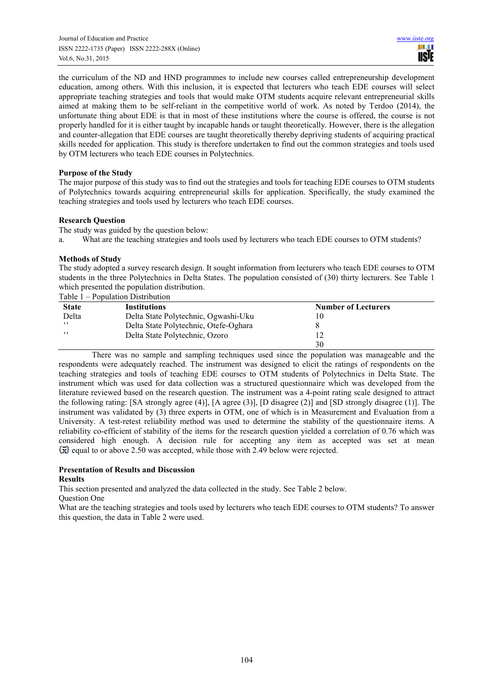the curriculum of the ND and HND programmes to include new courses called entrepreneurship development education, among others. With this inclusion, it is expected that lecturers who teach EDE courses will select appropriate teaching strategies and tools that would make OTM students acquire relevant entrepreneurial skills aimed at making them to be self-reliant in the competitive world of work. As noted by Terdoo (2014), the unfortunate thing about EDE is that in most of these institutions where the course is offered, the course is not properly handled for it is either taught by incapable hands or taught theoretically. However, there is the allegation and counter-allegation that EDE courses are taught theoretically thereby depriving students of acquiring practical skills needed for application. This study is therefore undertaken to find out the common strategies and tools used by OTM lecturers who teach EDE courses in Polytechnics.

# **Purpose of the Study**

The major purpose of this study was to find out the strategies and tools for teaching EDE courses to OTM students of Polytechnics towards acquiring entrepreneurial skills for application. Specifically, the study examined the teaching strategies and tools used by lecturers who teach EDE courses.

# **Research Question**

The study was guided by the question below:

a. What are the teaching strategies and tools used by lecturers who teach EDE courses to OTM students?

## **Methods of Study**

The study adopted a survey research design. It sought information from lecturers who teach EDE courses to OTM students in the three Polytechnics in Delta States. The population consisted of (30) thirty lecturers. See Table 1 which presented the population distribution.

Table 1 – Population Distribution

| <b>State</b> | <b>Institutions</b>                   | <b>Number of Lecturers</b> |  |
|--------------|---------------------------------------|----------------------------|--|
| Delta        | Delta State Polytechnic, Ogwashi-Uku  | 10                         |  |
| , ,          | Delta State Polytechnic, Otefe-Oghara |                            |  |
| , ,          | Delta State Polytechnic, Ozoro        | 12                         |  |
|              |                                       | 30                         |  |

There was no sample and sampling techniques used since the population was manageable and the respondents were adequately reached. The instrument was designed to elicit the ratings of respondents on the teaching strategies and tools of teaching EDE courses to OTM students of Polytechnics in Delta State. The instrument which was used for data collection was a structured questionnaire which was developed from the literature reviewed based on the research question. The instrument was a 4-point rating scale designed to attract the following rating: [SA strongly agree (4)], [A agree (3)], [D disagree (2)] and [SD strongly disagree (1)]. The instrument was validated by (3) three experts in OTM, one of which is in Measurement and Evaluation from a University. A test-retest reliability method was used to determine the stability of the questionnaire items. A reliability co-efficient of stability of the items for the research question yielded a correlation of 0.76 which was considered high enough. A decision rule for accepting any item as accepted was set at mean  $\overline{x}$  equal to or above 2.50 was accepted, while those with 2.49 below were rejected.

# **Presentation of Results and Discussion**

### **Results**

This section presented and analyzed the data collected in the study. See Table 2 below.

Question One

What are the teaching strategies and tools used by lecturers who teach EDE courses to OTM students? To answer this question, the data in Table 2 were used.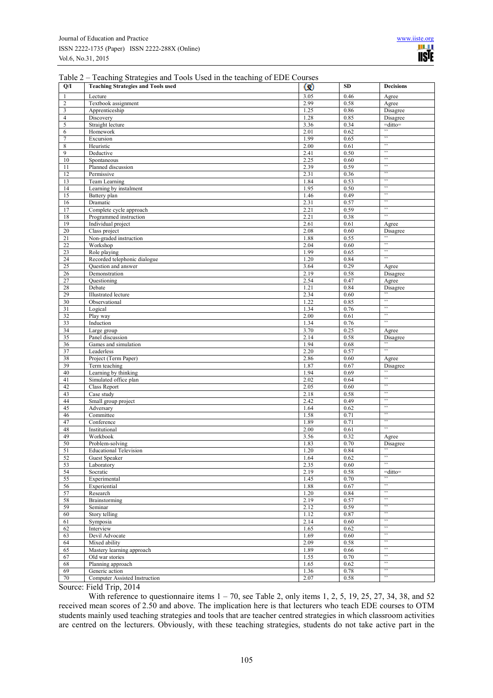| Table 2 – Teaching Strategies and Tools Used in the teaching of EDE Courses |  |  |
|-----------------------------------------------------------------------------|--|--|
|                                                                             |  |  |

| Q/I              | <b>Teaching Strategies and Tools used</b> | $\omega$     | <b>SD</b>    | <b>Decisions</b>    |
|------------------|-------------------------------------------|--------------|--------------|---------------------|
| 1                | Lecture                                   | 3.05         | 0.46         | Agree               |
| $\overline{c}$   | Textbook assignment                       | 2.99         | 0.58         | Agree               |
| 3                | Apprenticeship                            | 1.25         | 0.86         | Disagree            |
| $\overline{4}$   | Discovery                                 | 1.28         | 0.85         | Disagree            |
| 5                | Straight lecture                          | 3.36         | 0.34         | $=$ ditto $=$<br>,, |
| 6                | Homework                                  | 2.01         | 0.62         | ,,                  |
| 7                | Excursion                                 | 1.99         | 0.65         | ,,                  |
| $\,$ 8 $\,$<br>9 | Heuristic                                 | 2.00<br>2.41 | 0.61<br>0.50 | ,,                  |
| 10               | Deductive<br>Spontaneous                  | 2.25         | 0.60         | ,,                  |
| 11               | Planned discussion                        | 2.39         | 0.59         | ,,                  |
| 12               | Permissive                                | 2.31         | 0.36         | ,,                  |
| 13               | Team Learning                             | 1.84         | 0.53         | ,,                  |
| 14               | Learning by instalment                    | 1.95         | 0.50         | ,,                  |
| 15               | Battery plan                              | 1.46         | 0.49         | ,,                  |
| 16               | Dramatic                                  | 2.31         | 0.57         | ,                   |
| 17               | Complete cycle approach                   | 2.21         | 0.59         | ,,                  |
| 18               | Programmed instruction                    | 2.21         | 0.38         | $,$ ,               |
| 19               | Individual project                        | 2.61         | 0.61         | Agree               |
| $20\,$           | Class project                             | 2.08         | 0.60         | Disagree<br>,,      |
| 21<br>22         | Non-graded instruction<br>Workshop        | 1.88<br>2.04 | 0.55<br>0.60 | ,,                  |
| 23               | Role playing                              | 1.99         | 0.65         | $,$ ,               |
| 24               | Recorded telephonic dialogue              | 1.20         | 0.84         | ,,                  |
| 25               | Question and answer                       | 3.64         | 0.29         | Agree               |
| 26               | Demonstration                             | 2.19         | 0.58         | Disagree            |
| 27               | Questioning                               | 2.54         | 0.47         | Agree               |
| 28               | Debate                                    | 1.21         | 0.84         | Disagree            |
| 29               | <b>Illustrated</b> lecture                | 2.34         | 0.60         | $,$ ,               |
| 30               | Observational                             | 1.22         | 0.85         | $,$ ,               |
| 31               | Logical                                   | 1.34         | 0.76         | ,,                  |
| 32               | Play way                                  | 2.00         | 0.61         | ,,<br>,,            |
| 33               | Induction                                 | 1.34         | 0.76         |                     |
| 34<br>35         | Large group                               | 3.70<br>2.14 | 0.25<br>0.58 | Agree               |
| 36               | Panel discussion<br>Games and simulation  | 1.94         | 0.68         | Disagree<br>$,$ ,   |
| 37               | Leaderless                                | 2.20         | 0.57         | $,$ ,               |
| 38               | Project (Term Paper)                      | 2.86         | 0.60         | Agree               |
| 39               | Term teaching                             | 1.87         | 0.67         | Disagree            |
| 40               | Learning by thinking                      | 1.94         | 0.69         | ,                   |
| 41               | Simulated office plan                     | 2.02         | 0.64         | ,,                  |
| 42               | <b>Class Report</b>                       | 2.05         | 0.60         | ,,                  |
| 43               | Case study                                | 2.18         | 0.58         | ,,                  |
| 44               | Small group project                       | 2.42         | 0.49         | ,,<br>,,            |
| 45               | Adversary                                 | 1.64         | 0.62         | ,,                  |
| 46               | Committee                                 | 1.58<br>1.89 | 0.71         | ,,                  |
| 47<br>48         | Conference<br>Institutional               | 2.00         | 0.71<br>0.61 | ,,                  |
| 49               | Workbook                                  | 3.56         | 0.32         | Agree               |
| 50               | Problem-solving                           | 1.83         | 0.70         | Disagree            |
| 51               | <b>Educational Television</b>             | 1.20         | 0.84         | ,,                  |
| 52               | Guest Speaker                             | 1.64         | 0.62         | ,,                  |
| 53               | Laboratory                                | 2.35         | 0.60         | ,,                  |
| 54               | Socratic                                  | 2.19         | 0.58         | =ditto=             |
| 55               | Experimental                              | 1.45         | 0.70         | ,,                  |
| 56               | Experiential                              | 1.88         | 0.67         | ,,<br>,,            |
| 57               | Research                                  | 1.20         | 0.84         | ,,                  |
| 58<br>59         | Brainstorming                             | 2.19<br>2.12 | 0.57<br>0.59 | ,,                  |
| 60               | Seminar<br>Story telling                  | 1.12         | 0.87         | ,,                  |
| 61               | Symposia                                  | 2.14         | 0.60         | ,,                  |
| 62               | Interview                                 | 1.65         | 0.62         | ,,                  |
| 63               | Devil Advocate                            | 1.69         | 0.60         | ,                   |
| 64               | Mixed ability                             | 2.09         | 0.58         | ,,                  |
| 65               | Mastery learning approach                 | 1.89         | 0.66         | ,,                  |
| 67               | Old war stories                           | 1.55         | 0.70         | ,,                  |
| 68               | Planning approach                         | 1.65         | 0.62         | $, ,$               |
| 69               | Generic action                            | 1.36         | 0.78         | ,,                  |
| 70               | Computer Assisted Instruction             | 2.07         | 0.58         | ,,                  |

Source: Field Trip, 2014

With reference to questionnaire items  $1 - 70$ , see Table 2, only items 1, 2, 5, 19, 25, 27, 34, 38, and 52 received mean scores of 2.50 and above. The implication here is that lecturers who teach EDE courses to OTM students mainly used teaching strategies and tools that are teacher centred strategies in which classroom activities are centred on the lecturers. Obviously, with these teaching strategies, students do not take active part in the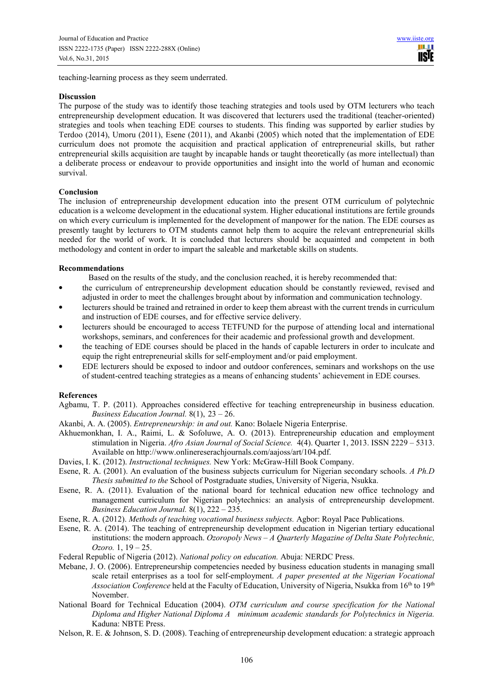teaching-learning process as they seem underrated.

## **Discussion**

The purpose of the study was to identify those teaching strategies and tools used by OTM lecturers who teach entrepreneurship development education. It was discovered that lecturers used the traditional (teacher-oriented) strategies and tools when teaching EDE courses to students. This finding was supported by earlier studies by Terdoo (2014), Umoru (2011), Esene (2011), and Akanbi (2005) which noted that the implementation of EDE curriculum does not promote the acquisition and practical application of entrepreneurial skills, but rather entrepreneurial skills acquisition are taught by incapable hands or taught theoretically (as more intellectual) than a deliberate process or endeavour to provide opportunities and insight into the world of human and economic survival.

## **Conclusion**

The inclusion of entrepreneurship development education into the present OTM curriculum of polytechnic education is a welcome development in the educational system. Higher educational institutions are fertile grounds on which every curriculum is implemented for the development of manpower for the nation. The EDE courses as presently taught by lecturers to OTM students cannot help them to acquire the relevant entrepreneurial skills needed for the world of work. It is concluded that lecturers should be acquainted and competent in both methodology and content in order to impart the saleable and marketable skills on students.

## **Recommendations**

Based on the results of the study, and the conclusion reached, it is hereby recommended that:

- the curriculum of entrepreneurship development education should be constantly reviewed, revised and adjusted in order to meet the challenges brought about by information and communication technology.
- lecturers should be trained and retrained in order to keep them abreast with the current trends in curriculum and instruction of EDE courses, and for effective service delivery.
- lecturers should be encouraged to access TETFUND for the purpose of attending local and international workshops, seminars, and conferences for their academic and professional growth and development.
- the teaching of EDE courses should be placed in the hands of capable lecturers in order to inculcate and equip the right entrepreneurial skills for self-employment and/or paid employment.
- EDE lecturers should be exposed to indoor and outdoor conferences, seminars and workshops on the use of student-centred teaching strategies as a means of enhancing students' achievement in EDE courses.

# **References**

- Agbamu, T. P. (2011). Approaches considered effective for teaching entrepreneurship in business education. *Business Education Journal.* 8(1), 23 – 26.
- Akanbi, A. A. (2005). *Entrepreneurship: in and out.* Kano: Bolaele Nigeria Enterprise.
- Akhuemonkhan, I. A., Raimi, L. & Sofoluwe, A. O. (2013). Entrepreneurship education and employment stimulation in Nigeria. *Afro Asian Journal of Social Science.* 4(4). Quarter 1, 2013. ISSN 2229 – 5313. Available on http://www.onlinereserachjournals.com/aajoss/art/104.pdf.
- Davies, I. K. (2012). *Instructional techniques.* New York: McGraw-Hill Book Company.
- Esene, R. A. (2001). An evaluation of the business subjects curriculum for Nigerian secondary schools. *A Ph.D Thesis submitted to the* School of Postgraduate studies, University of Nigeria, Nsukka.
- Esene, R. A. (2011). Evaluation of the national board for technical education new office technology and management curriculum for Nigerian polytechnics: an analysis of entrepreneurship development. *Business Education Journal.* 8(1), 222 – 235.
- Esene, R. A. (2012). *Methods of teaching vocational business subjects.* Agbor: Royal Pace Publications.
- Esene, R. A. (2014). The teaching of entrepreneurship development education in Nigerian tertiary educational institutions: the modern approach. *Ozoropoly News – A Quarterly Magazine of Delta State Polytechnic, Ozoro.* 1, 19 – 25.
- Federal Republic of Nigeria (2012). *National policy on education.* Abuja: NERDC Press.
- Mebane, J. O. (2006). Entrepreneurship competencies needed by business education students in managing small scale retail enterprises as a tool for self-employment. *A paper presented at the Nigerian Vocational Association Conference* held at the Faculty of Education, University of Nigeria, Nsukka from 16<sup>th</sup> to 19<sup>th</sup> November.
- National Board for Technical Education (2004). *OTM curriculum and course specification for the National Diploma and Higher National Diploma A minimum academic standards for Polytechnics in Nigeria.*  Kaduna: NBTE Press.
- Nelson, R. E. & Johnson, S. D. (2008). Teaching of entrepreneurship development education: a strategic approach